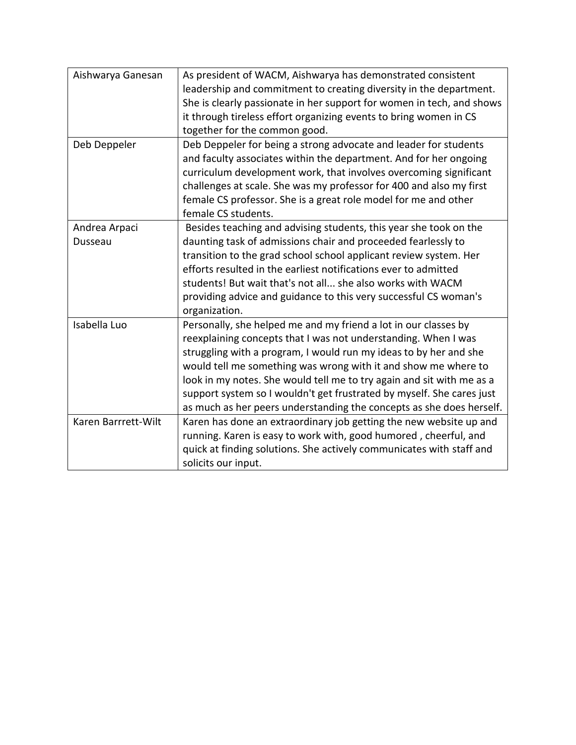| Aishwarya Ganesan   | As president of WACM, Aishwarya has demonstrated consistent           |
|---------------------|-----------------------------------------------------------------------|
|                     | leadership and commitment to creating diversity in the department.    |
|                     | She is clearly passionate in her support for women in tech, and shows |
|                     | it through tireless effort organizing events to bring women in CS     |
|                     | together for the common good.                                         |
| Deb Deppeler        | Deb Deppeler for being a strong advocate and leader for students      |
|                     | and faculty associates within the department. And for her ongoing     |
|                     | curriculum development work, that involves overcoming significant     |
|                     | challenges at scale. She was my professor for 400 and also my first   |
|                     | female CS professor. She is a great role model for me and other       |
|                     | female CS students.                                                   |
| Andrea Arpaci       | Besides teaching and advising students, this year she took on the     |
| Dusseau             | daunting task of admissions chair and proceeded fearlessly to         |
|                     | transition to the grad school school applicant review system. Her     |
|                     | efforts resulted in the earliest notifications ever to admitted       |
|                     | students! But wait that's not all she also works with WACM            |
|                     | providing advice and guidance to this very successful CS woman's      |
|                     | organization.                                                         |
| Isabella Luo        | Personally, she helped me and my friend a lot in our classes by       |
|                     | reexplaining concepts that I was not understanding. When I was        |
|                     | struggling with a program, I would run my ideas to by her and she     |
|                     | would tell me something was wrong with it and show me where to        |
|                     | look in my notes. She would tell me to try again and sit with me as a |
|                     | support system so I wouldn't get frustrated by myself. She cares just |
|                     | as much as her peers understanding the concepts as she does herself.  |
| Karen Barrrett-Wilt | Karen has done an extraordinary job getting the new website up and    |
|                     | running. Karen is easy to work with, good humored, cheerful, and      |
|                     | quick at finding solutions. She actively communicates with staff and  |
|                     | solicits our input.                                                   |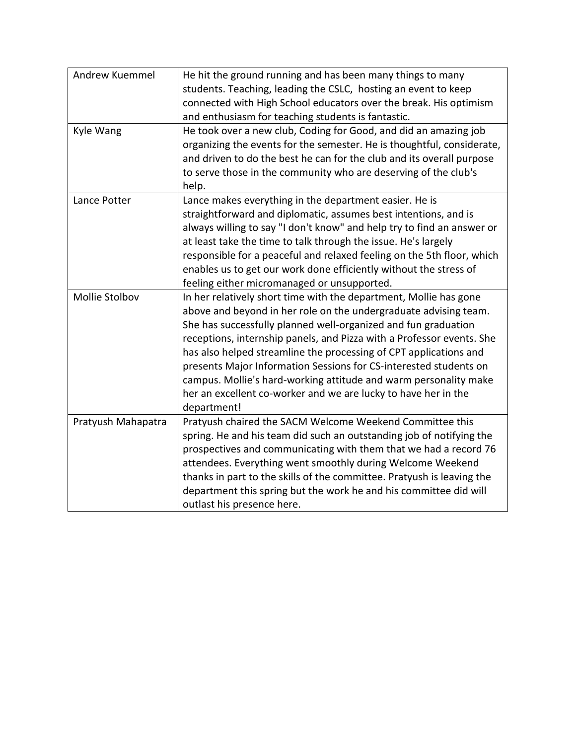| Andrew Kuemmel     | He hit the ground running and has been many things to many<br>students. Teaching, leading the CSLC, hosting an event to keep<br>connected with High School educators over the break. His optimism<br>and enthusiasm for teaching students is fantastic.                                                                                                                                                                                                                                                                                                                         |
|--------------------|---------------------------------------------------------------------------------------------------------------------------------------------------------------------------------------------------------------------------------------------------------------------------------------------------------------------------------------------------------------------------------------------------------------------------------------------------------------------------------------------------------------------------------------------------------------------------------|
| Kyle Wang          | He took over a new club, Coding for Good, and did an amazing job<br>organizing the events for the semester. He is thoughtful, considerate,<br>and driven to do the best he can for the club and its overall purpose<br>to serve those in the community who are deserving of the club's<br>help.                                                                                                                                                                                                                                                                                 |
| Lance Potter       | Lance makes everything in the department easier. He is<br>straightforward and diplomatic, assumes best intentions, and is<br>always willing to say "I don't know" and help try to find an answer or<br>at least take the time to talk through the issue. He's largely<br>responsible for a peaceful and relaxed feeling on the 5th floor, which<br>enables us to get our work done efficiently without the stress of<br>feeling either micromanaged or unsupported.                                                                                                             |
| Mollie Stolbov     | In her relatively short time with the department, Mollie has gone<br>above and beyond in her role on the undergraduate advising team.<br>She has successfully planned well-organized and fun graduation<br>receptions, internship panels, and Pizza with a Professor events. She<br>has also helped streamline the processing of CPT applications and<br>presents Major Information Sessions for CS-interested students on<br>campus. Mollie's hard-working attitude and warm personality make<br>her an excellent co-worker and we are lucky to have her in the<br>department! |
| Pratyush Mahapatra | Pratyush chaired the SACM Welcome Weekend Committee this<br>spring. He and his team did such an outstanding job of notifying the<br>prospectives and communicating with them that we had a record 76<br>attendees. Everything went smoothly during Welcome Weekend<br>thanks in part to the skills of the committee. Pratyush is leaving the<br>department this spring but the work he and his committee did will<br>outlast his presence here.                                                                                                                                 |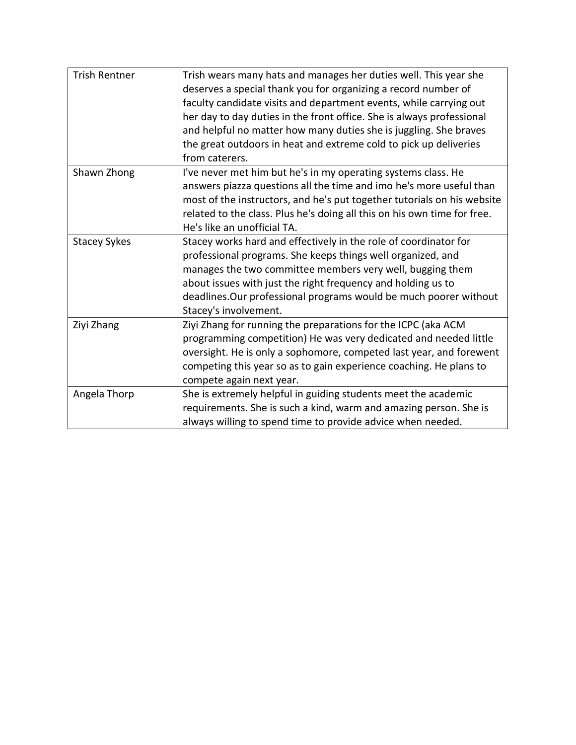| <b>Trish Rentner</b> | Trish wears many hats and manages her duties well. This year she<br>deserves a special thank you for organizing a record number of<br>faculty candidate visits and department events, while carrying out<br>her day to day duties in the front office. She is always professional<br>and helpful no matter how many duties she is juggling. She braves<br>the great outdoors in heat and extreme cold to pick up deliveries<br>from caterers. |
|----------------------|-----------------------------------------------------------------------------------------------------------------------------------------------------------------------------------------------------------------------------------------------------------------------------------------------------------------------------------------------------------------------------------------------------------------------------------------------|
| Shawn Zhong          | I've never met him but he's in my operating systems class. He<br>answers piazza questions all the time and imo he's more useful than<br>most of the instructors, and he's put together tutorials on his website<br>related to the class. Plus he's doing all this on his own time for free.<br>He's like an unofficial TA.                                                                                                                    |
| <b>Stacey Sykes</b>  | Stacey works hard and effectively in the role of coordinator for<br>professional programs. She keeps things well organized, and<br>manages the two committee members very well, bugging them<br>about issues with just the right frequency and holding us to<br>deadlines. Our professional programs would be much poorer without<br>Stacey's involvement.                                                                                    |
| Ziyi Zhang           | Ziyi Zhang for running the preparations for the ICPC (aka ACM<br>programming competition) He was very dedicated and needed little<br>oversight. He is only a sophomore, competed last year, and forewent<br>competing this year so as to gain experience coaching. He plans to<br>compete again next year.                                                                                                                                    |
| Angela Thorp         | She is extremely helpful in guiding students meet the academic<br>requirements. She is such a kind, warm and amazing person. She is<br>always willing to spend time to provide advice when needed.                                                                                                                                                                                                                                            |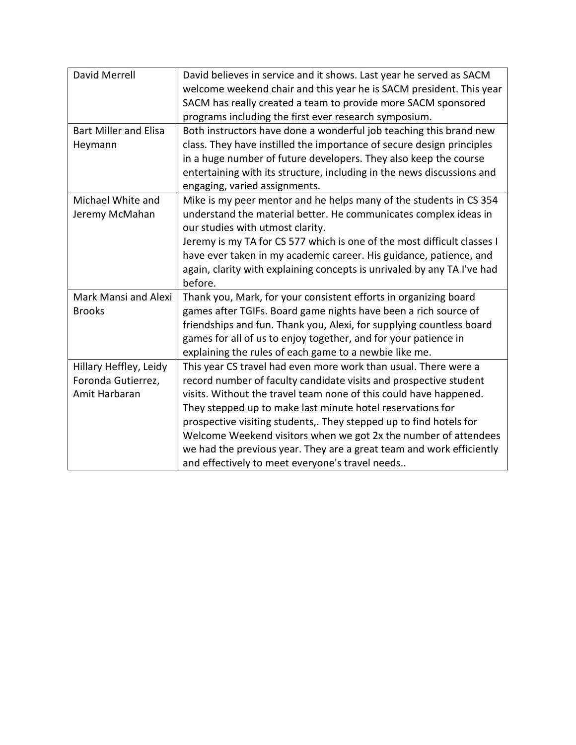| <b>David Merrell</b>         | David believes in service and it shows. Last year he served as SACM     |
|------------------------------|-------------------------------------------------------------------------|
|                              | welcome weekend chair and this year he is SACM president. This year     |
|                              | SACM has really created a team to provide more SACM sponsored           |
|                              | programs including the first ever research symposium.                   |
| <b>Bart Miller and Elisa</b> | Both instructors have done a wonderful job teaching this brand new      |
| Heymann                      | class. They have instilled the importance of secure design principles   |
|                              | in a huge number of future developers. They also keep the course        |
|                              | entertaining with its structure, including in the news discussions and  |
|                              | engaging, varied assignments.                                           |
| Michael White and            | Mike is my peer mentor and he helps many of the students in CS 354      |
| Jeremy McMahan               | understand the material better. He communicates complex ideas in        |
|                              | our studies with utmost clarity.                                        |
|                              | Jeremy is my TA for CS 577 which is one of the most difficult classes I |
|                              | have ever taken in my academic career. His guidance, patience, and      |
|                              | again, clarity with explaining concepts is unrivaled by any TA I've had |
|                              | before.                                                                 |
| Mark Mansi and Alexi         | Thank you, Mark, for your consistent efforts in organizing board        |
| <b>Brooks</b>                | games after TGIFs. Board game nights have been a rich source of         |
|                              | friendships and fun. Thank you, Alexi, for supplying countless board    |
|                              | games for all of us to enjoy together, and for your patience in         |
|                              | explaining the rules of each game to a newbie like me.                  |
| Hillary Heffley, Leidy       | This year CS travel had even more work than usual. There were a         |
| Foronda Gutierrez,           | record number of faculty candidate visits and prospective student       |
| Amit Harbaran                | visits. Without the travel team none of this could have happened.       |
|                              | They stepped up to make last minute hotel reservations for              |
|                              | prospective visiting students,. They stepped up to find hotels for      |
|                              | Welcome Weekend visitors when we got 2x the number of attendees         |
|                              | we had the previous year. They are a great team and work efficiently    |
|                              | and effectively to meet everyone's travel needs                         |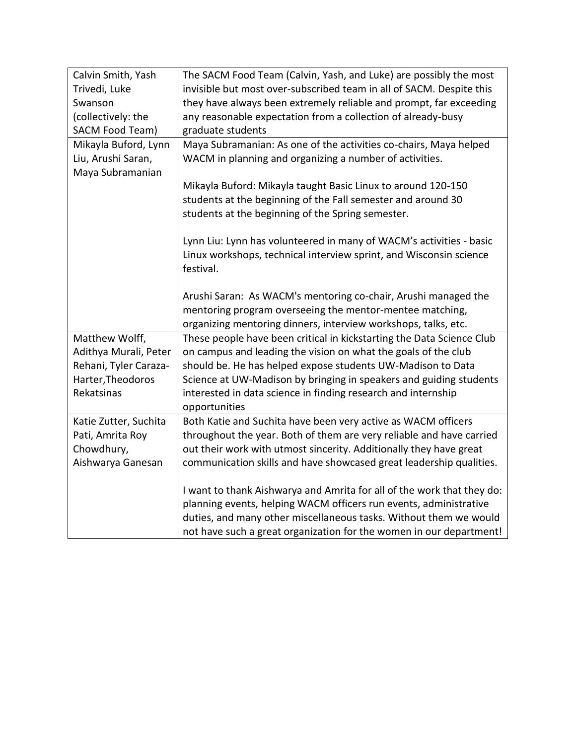| Calvin Smith, Yash                                                            | The SACM Food Team (Calvin, Yash, and Luke) are possibly the most                                                                                                                                                                                                                                                                                                                                                                                                                                                                                                                                                                                                                                                               |
|-------------------------------------------------------------------------------|---------------------------------------------------------------------------------------------------------------------------------------------------------------------------------------------------------------------------------------------------------------------------------------------------------------------------------------------------------------------------------------------------------------------------------------------------------------------------------------------------------------------------------------------------------------------------------------------------------------------------------------------------------------------------------------------------------------------------------|
| Trivedi, Luke                                                                 | invisible but most over-subscribed team in all of SACM. Despite this                                                                                                                                                                                                                                                                                                                                                                                                                                                                                                                                                                                                                                                            |
| Swanson                                                                       | they have always been extremely reliable and prompt, far exceeding                                                                                                                                                                                                                                                                                                                                                                                                                                                                                                                                                                                                                                                              |
| (collectively: the                                                            | any reasonable expectation from a collection of already-busy                                                                                                                                                                                                                                                                                                                                                                                                                                                                                                                                                                                                                                                                    |
| SACM Food Team)                                                               | graduate students                                                                                                                                                                                                                                                                                                                                                                                                                                                                                                                                                                                                                                                                                                               |
| Mikayla Buford, Lynn                                                          | Maya Subramanian: As one of the activities co-chairs, Maya helped                                                                                                                                                                                                                                                                                                                                                                                                                                                                                                                                                                                                                                                               |
| Liu, Arushi Saran,                                                            | WACM in planning and organizing a number of activities.                                                                                                                                                                                                                                                                                                                                                                                                                                                                                                                                                                                                                                                                         |
| Maya Subramanian                                                              |                                                                                                                                                                                                                                                                                                                                                                                                                                                                                                                                                                                                                                                                                                                                 |
|                                                                               | Mikayla Buford: Mikayla taught Basic Linux to around 120-150                                                                                                                                                                                                                                                                                                                                                                                                                                                                                                                                                                                                                                                                    |
|                                                                               | students at the beginning of the Fall semester and around 30                                                                                                                                                                                                                                                                                                                                                                                                                                                                                                                                                                                                                                                                    |
|                                                                               | students at the beginning of the Spring semester.                                                                                                                                                                                                                                                                                                                                                                                                                                                                                                                                                                                                                                                                               |
|                                                                               |                                                                                                                                                                                                                                                                                                                                                                                                                                                                                                                                                                                                                                                                                                                                 |
|                                                                               | Lynn Liu: Lynn has volunteered in many of WACM's activities - basic                                                                                                                                                                                                                                                                                                                                                                                                                                                                                                                                                                                                                                                             |
|                                                                               | Linux workshops, technical interview sprint, and Wisconsin science                                                                                                                                                                                                                                                                                                                                                                                                                                                                                                                                                                                                                                                              |
|                                                                               | festival.                                                                                                                                                                                                                                                                                                                                                                                                                                                                                                                                                                                                                                                                                                                       |
|                                                                               |                                                                                                                                                                                                                                                                                                                                                                                                                                                                                                                                                                                                                                                                                                                                 |
|                                                                               | Arushi Saran: As WACM's mentoring co-chair, Arushi managed the                                                                                                                                                                                                                                                                                                                                                                                                                                                                                                                                                                                                                                                                  |
|                                                                               | mentoring program overseeing the mentor-mentee matching,                                                                                                                                                                                                                                                                                                                                                                                                                                                                                                                                                                                                                                                                        |
|                                                                               | organizing mentoring dinners, interview workshops, talks, etc.                                                                                                                                                                                                                                                                                                                                                                                                                                                                                                                                                                                                                                                                  |
| Matthew Wolff,                                                                | These people have been critical in kickstarting the Data Science Club                                                                                                                                                                                                                                                                                                                                                                                                                                                                                                                                                                                                                                                           |
| Adithya Murali, Peter                                                         |                                                                                                                                                                                                                                                                                                                                                                                                                                                                                                                                                                                                                                                                                                                                 |
| Rehani, Tyler Caraza-                                                         | should be. He has helped expose students UW-Madison to Data                                                                                                                                                                                                                                                                                                                                                                                                                                                                                                                                                                                                                                                                     |
|                                                                               |                                                                                                                                                                                                                                                                                                                                                                                                                                                                                                                                                                                                                                                                                                                                 |
| Rekatsinas                                                                    |                                                                                                                                                                                                                                                                                                                                                                                                                                                                                                                                                                                                                                                                                                                                 |
|                                                                               |                                                                                                                                                                                                                                                                                                                                                                                                                                                                                                                                                                                                                                                                                                                                 |
|                                                                               |                                                                                                                                                                                                                                                                                                                                                                                                                                                                                                                                                                                                                                                                                                                                 |
| Pati, Amrita Roy                                                              | throughout the year. Both of them are very reliable and have carried                                                                                                                                                                                                                                                                                                                                                                                                                                                                                                                                                                                                                                                            |
|                                                                               |                                                                                                                                                                                                                                                                                                                                                                                                                                                                                                                                                                                                                                                                                                                                 |
|                                                                               |                                                                                                                                                                                                                                                                                                                                                                                                                                                                                                                                                                                                                                                                                                                                 |
|                                                                               |                                                                                                                                                                                                                                                                                                                                                                                                                                                                                                                                                                                                                                                                                                                                 |
|                                                                               |                                                                                                                                                                                                                                                                                                                                                                                                                                                                                                                                                                                                                                                                                                                                 |
|                                                                               |                                                                                                                                                                                                                                                                                                                                                                                                                                                                                                                                                                                                                                                                                                                                 |
|                                                                               |                                                                                                                                                                                                                                                                                                                                                                                                                                                                                                                                                                                                                                                                                                                                 |
|                                                                               |                                                                                                                                                                                                                                                                                                                                                                                                                                                                                                                                                                                                                                                                                                                                 |
| Harter, Theodoros<br>Katie Zutter, Suchita<br>Chowdhury,<br>Aishwarya Ganesan | on campus and leading the vision on what the goals of the club<br>Science at UW-Madison by bringing in speakers and guiding students<br>interested in data science in finding research and internship<br>opportunities<br>Both Katie and Suchita have been very active as WACM officers<br>out their work with utmost sincerity. Additionally they have great<br>communication skills and have showcased great leadership qualities.<br>I want to thank Aishwarya and Amrita for all of the work that they do:<br>planning events, helping WACM officers run events, administrative<br>duties, and many other miscellaneous tasks. Without them we would<br>not have such a great organization for the women in our department! |